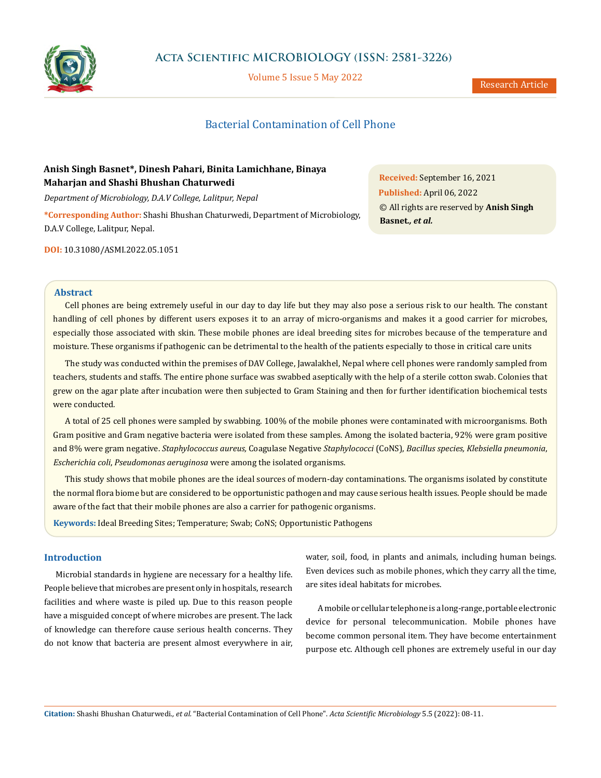

## **Acta Scientific MICROBIOLOGY (ISSN: 2581-3226)**

Volume 5 Issue 5 May 2022

# Bacterial Contamination of Cell Phone

## **Anish Singh Basnet\*, Dinesh Pahari, Binita Lamichhane, Binaya Maharjan and Shashi Bhushan Chaturwedi**

*Department of Microbiology, D.A.V College, Lalitpur, Nepal*  **\*Corresponding Author:** Shashi Bhushan Chaturwedi, Department of Microbiology, D.A.V College, Lalitpur, Nepal.

**Received:** September 16, 2021 **Published:** April 06, 2022 © All rights are reserved by **Anish Singh Basnet***., et al.*

**DOI:** [10.31080/ASMI.2022.05.1051](http:// actascientific.com/ASMI/pdf/ASMI-05-1051.pdf)

#### **Abstract**

Cell phones are being extremely useful in our day to day life but they may also pose a serious risk to our health. The constant handling of cell phones by different users exposes it to an array of micro-organisms and makes it a good carrier for microbes, especially those associated with skin. These mobile phones are ideal breeding sites for microbes because of the temperature and moisture. These organisms if pathogenic can be detrimental to the health of the patients especially to those in critical care units

The study was conducted within the premises of DAV College, Jawalakhel, Nepal where cell phones were randomly sampled from teachers, students and staffs. The entire phone surface was swabbed aseptically with the help of a sterile cotton swab. Colonies that grew on the agar plate after incubation were then subjected to Gram Staining and then for further identification biochemical tests were conducted*.*

A total of 25 cell phones were sampled by swabbing. 100% of the mobile phones were contaminated with microorganisms. Both Gram positive and Gram negative bacteria were isolated from these samples. Among the isolated bacteria, 92% were gram positive and 8% were gram negative. *Staphylococcus aureus,* Coagulase Negative *Staphylococci* (CoNS), *Bacillus species, Klebsiella pneumonia*, *Escherichia coli*, *Pseudomonas aeruginosa* were among the isolated organisms.

This study shows that mobile phones are the ideal sources of modern-day contaminations. The organisms isolated by constitute the normal flora biome but are considered to be opportunistic pathogen and may cause serious health issues. People should be made aware of the fact that their mobile phones are also a carrier for pathogenic organisms.

**Keywords:** Ideal Breeding Sites; Temperature; Swab; CoNS; Opportunistic Pathogens

### **Introduction**

Microbial standards in hygiene are necessary for a healthy life. People believe that microbes are present only in hospitals, research facilities and where waste is piled up. Due to this reason people have a misguided concept of where microbes are present. The lack of knowledge can therefore cause serious health concerns. They do not know that bacteria are present almost everywhere in air, water, soil, food, in plants and animals, including human beings. Even devices such as mobile phones, which they carry all the time, are sites ideal habitats for microbes.

A mobile or cellular telephone is a long-range, portable electronic device for personal telecommunication. Mobile phones have become common personal item. They have become entertainment purpose etc. Although cell phones are extremely useful in our day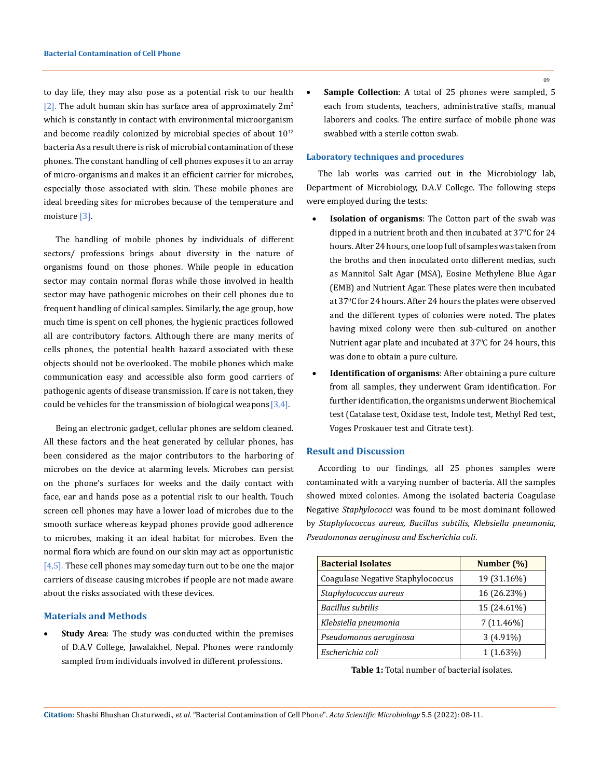to day life, they may also pose as a potential risk to our health [2]. The adult human skin has surface area of approximately  $2m^2$ which is constantly in contact with environmental microorganism and become readily colonized by microbial species of about  $10^{12}$ bacteria As a result there is risk of microbial contamination of these phones. The constant handling of cell phones exposes it to an array of micro-organisms and makes it an efficient carrier for microbes, especially those associated with skin. These mobile phones are ideal breeding sites for microbes because of the temperature and moisture [3].

The handling of mobile phones by individuals of different sectors/ professions brings about diversity in the nature of organisms found on those phones. While people in education sector may contain normal floras while those involved in health sector may have pathogenic microbes on their cell phones due to frequent handling of clinical samples. Similarly, the age group, how much time is spent on cell phones, the hygienic practices followed all are contributory factors. Although there are many merits of cells phones, the potential health hazard associated with these objects should not be overlooked. The mobile phones which make communication easy and accessible also form good carriers of pathogenic agents of disease transmission. If care is not taken, they could be vehicles for the transmission of biological weapons  $[3,4]$ .

Being an electronic gadget, cellular phones are seldom cleaned. All these factors and the heat generated by cellular phones, has been considered as the major contributors to the harboring of microbes on the device at alarming levels. Microbes can persist on the phone's surfaces for weeks and the daily contact with face, ear and hands pose as a potential risk to our health. Touch screen cell phones may have a lower load of microbes due to the smooth surface whereas keypad phones provide good adherence to microbes, making it an ideal habitat for microbes. Even the normal flora which are found on our skin may act as opportunistic  $[4,5]$ . These cell phones may someday turn out to be one the major carriers of disease causing microbes if people are not made aware about the risks associated with these devices.

#### **Materials and Methods**

**Study Area**: The study was conducted within the premises of D.A.V College, Jawalakhel, Nepal. Phones were randomly sampled from individuals involved in different professions.

**Sample Collection**: A total of 25 phones were sampled, 5 each from students, teachers, administrative staffs, manual laborers and cooks. The entire surface of mobile phone was swabbed with a sterile cotton swab.

#### **Laboratory techniques and procedures**

The lab works was carried out in the Microbiology lab, Department of Microbiology, D.A.V College. The following steps were employed during the tests:

- **Isolation of organisms**: The Cotton part of the swab was dipped in a nutrient broth and then incubated at  $37^{\circ}$ C for 24 hours. After 24 hours, one loop full of samples was taken from the broths and then inoculated onto different medias, such as Mannitol Salt Agar (MSA), Eosine Methylene Blue Agar (EMB) and Nutrient Agar. These plates were then incubated at 37°C for 24 hours. After 24 hours the plates were observed and the different types of colonies were noted. The plates having mixed colony were then sub-cultured on another Nutrient agar plate and incubated at 37°C for 24 hours, this was done to obtain a pure culture.
- **Identification of organisms**: After obtaining a pure culture from all samples, they underwent Gram identification. For further identification, the organisms underwent Biochemical test (Catalase test, Oxidase test, Indole test, Methyl Red test, Voges Proskauer test and Citrate test).

#### **Result and Discussion**

According to our findings, all 25 phones samples were contaminated with a varying number of bacteria. All the samples showed mixed colonies. Among the isolated bacteria Coagulase Negative *Staphylococci* was found to be most dominant followed by *Staphylococcus aureus, Bacillus subtilis, Klebsiella pneumonia*, *Pseudomonas aeruginosa and Escherichia coli*.

| <b>Bacterial Isolates</b>         | Number (%)   |
|-----------------------------------|--------------|
| Coagulase Negative Staphylococcus | 19 (31.16%)  |
| Staphylococcus aureus             | 16 (26.23%)  |
| <b>Bacillus subtilis</b>          | 15 (24.61%)  |
| Klebsiella pneumonia              | $7(11.46\%)$ |
| Pseudomonas aeruginosa            | $3(4.91\%)$  |
| Escherichia coli                  | $1(1.63\%)$  |

**Table 1:** Total number of bacterial isolates.

**Citation:** Shashi Bhushan Chaturwedi*., et al.* "Bacterial Contamination of Cell Phone". *Acta Scientific Microbiology* 5.5 (2022): 08-11.

09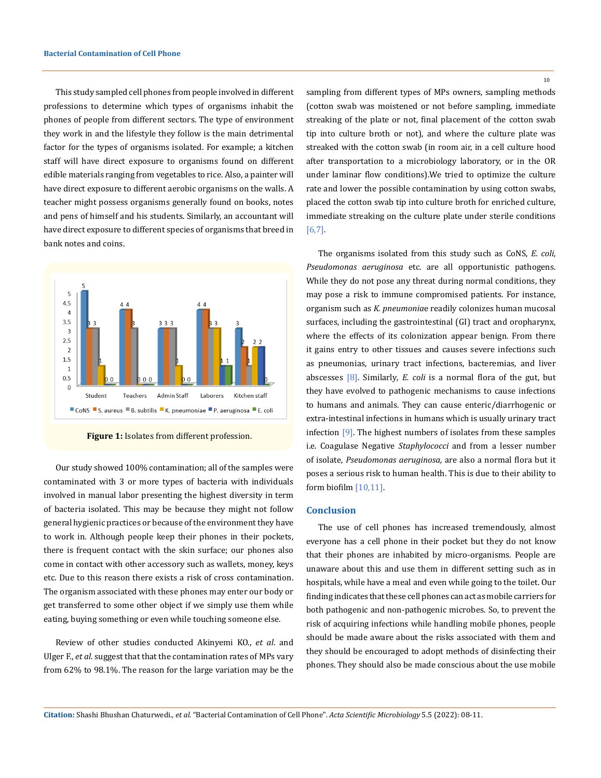This study sampled cell phones from people involved in different professions to determine which types of organisms inhabit the phones of people from different sectors. The type of environment they work in and the lifestyle they follow is the main detrimental factor for the types of organisms isolated. For example; a kitchen staff will have direct exposure to organisms found on different edible materials ranging from vegetables to rice. Also, a painter will have direct exposure to different aerobic organisms on the walls. A teacher might possess organisms generally found on books, notes and pens of himself and his students. Similarly, an accountant will have direct exposure to different species of organisms that breed in bank notes and coins.



**Figure 1:** Isolates from different profession.

Our study showed 100% contamination; all of the samples were contaminated with 3 or more types of bacteria with individuals involved in manual labor presenting the highest diversity in term of bacteria isolated. This may be because they might not follow general hygienic practices or because of the environment they have to work in. Although people keep their phones in their pockets, there is frequent contact with the skin surface; our phones also come in contact with other accessory such as wallets, money, keys etc. Due to this reason there exists a risk of cross contamination. The organism associated with these phones may enter our body or get transferred to some other object if we simply use them while eating, buying something or even while touching someone else.

Review of other studies conducted Akinyemi KO., *et al*. and Ulger F., *et al*. suggest that that the contamination rates of MPs vary from 62% to 98.1%. The reason for the large variation may be the sampling from different types of MPs owners, sampling methods (cotton swab was moistened or not before sampling, immediate streaking of the plate or not, final placement of the cotton swab tip into culture broth or not), and where the culture plate was streaked with the cotton swab (in room air, in a cell culture hood after transportation to a microbiology laboratory, or in the OR under laminar flow conditions).We tried to optimize the culture rate and lower the possible contamination by using cotton swabs, placed the cotton swab tip into culture broth for enriched culture, immediate streaking on the culture plate under sterile conditions [6,7].

The organisms isolated from this study such as CoNS, *E. coli*, *Pseudomonas aeruginosa* etc. are all opportunistic pathogens. While they do not pose any threat during normal conditions, they may pose a risk to immune compromised patients. For instance, organism such as *K. pneumonia*e readily colonizes human mucosal surfaces, including the gastrointestinal (GI) tract and oropharynx, where the effects of its colonization appear benign. From there it gains entry to other tissues and causes severe infections such as pneumonias, urinary tract infections, bacteremias, and liver abscesses [8]. Similarly*, E. coli* is a normal flora of the gut, but they have evolved to pathogenic mechanisms to cause infections to humans and animals. They can cause enteric/diarrhogenic or extra-intestinal infections in humans which is usually urinary tract infection [9]. The highest numbers of isolates from these samples i.e. Coagulase Negative *Staphylococci* and from a lesser number of isolate, *Pseudomonas aeruginosa,* are also a normal flora but it poses a serious risk to human health. This is due to their ability to form biofilm [10,11].

#### **Conclusion**

The use of cell phones has increased tremendously, almost everyone has a cell phone in their pocket but they do not know that their phones are inhabited by micro-organisms. People are unaware about this and use them in different setting such as in hospitals, while have a meal and even while going to the toilet. Our finding indicates that these cell phones can act as mobile carriers for both pathogenic and non-pathogenic microbes. So, to prevent the risk of acquiring infections while handling mobile phones, people should be made aware about the risks associated with them and they should be encouraged to adopt methods of disinfecting their phones. They should also be made conscious about the use mobile